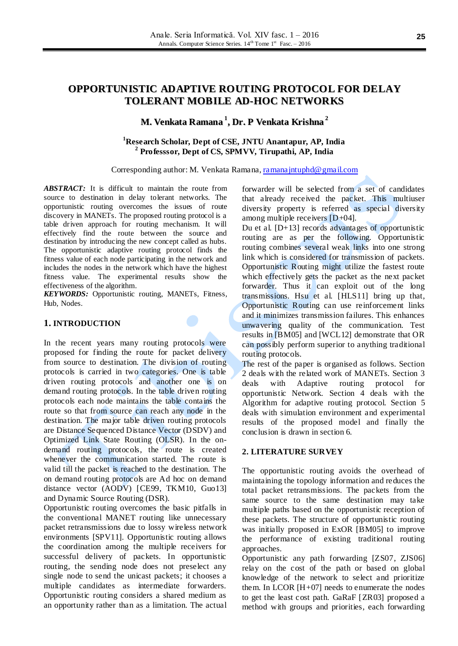# **OPPORTUNISTIC ADAPTIVE ROUTING PROTOCOL FOR DELAY TOLERANT MOBILE AD-HOC NETWORKS**

# **M. Venkata Ramana 1 , Dr. P Venkata Krishna 2**

# **<sup>1</sup>Research Scholar, Dept of CSE, JNTU Anantapur, AP, India 2 Professsor, Dept of CS, SPMVV, Tirupathi, AP, India**

Corresponding author: M. Venkata Ramana[, ramanajntuphd@gmail.com](mailto:ramanajntuphd@gmail.com)

*ABSTRACT:* It is difficult to maintain the route from source to destination in delay tolerant networks. The opportunistic routing overcomes the issues of route discovery in MANETs. The proposed routing protocol is a table driven approach for routing mechanism. It will effectively find the route between the source and destination by introducing the new concept called as hubs. The opportunistic adaptive routing protocol finds the fitness value of each node participating in the network and includes the nodes in the network which have the highest fitness value. The experimental results show the effectiveness of the algorithm.

*KEYWORDS:* Opportunistic routing, MANETs, Fitness, Hub, Nodes.

## **1. INTRODUCTION**

In the recent years many routing protocols were proposed for finding the route for packet delivery from source to destination. The division of routing protocols is carried in two categories. One is table driven routing protocols and another one is on demand routing protocols. In the table driven routing protocols each node maintains the table contains the route so that from source can reach any node in the destination. The major table driven routing protocols are Distance Sequenced Distance Vector (DSDV) and Optimized Link State Routing (OLSR). In the ondemand routing protocols, the route is created whenever the communication started. The route is valid till the packet is reached to the destination. The on demand routing protocols are Ad hoc on demand distance vector (AODV) [CE99, TKM10, Guo13] and Dynamic Source Routing (DSR).

Opportunistic routing overcomes the basic pitfalls in the conventional MANET routing like unnecessary packet retransmissions due to lossy wireless network environments [SPV11]. Opportunistic routing allows the coordination among the multiple receivers for successful delivery of packets. In opportunistic routing, the sending node does not preselect any single node to send the unicast packets; it chooses a multiple candidates as intermediate forwarders. Opportunistic routing considers a shared medium as an opportunity rather than as a limitation. The actual forwarder will be selected from a set of candidates that already received the packet. This multiuser diversity property is referred as special diversity among multiple receivers  $[D+04]$ .

Du et al.  $[D+13]$  records advantages of opportunistic routing are as per the following. Opportunistic routing combines several weak links into one strong link which is considered for transmission of packets. Opportunistic Routing might utilize the fastest route which effectively gets the packet as the next packet forwarder. Thus it can exploit out of the long transmissions. Hsu et al. [HLS11] bring up that, Opportunistic Routing can use reinforcement links and it minimizes transmission failures. This enhances unwavering quality of the communication. Test results in [BM05] and [WCL12] demonstrate that OR can possibly perform superior to anything traditional routing protocols.

The rest of the paper is organised as follows. Section 2 deals with the related work of MANETs. Section 3 deals with Adaptive routing protocol for opportunistic Network. Section 4 deals with the Algorithm for adaptive routing protocol. Section 5 deals with simulation environment and experimental results of the proposed model and finally the conclusion is drawn in section 6.

#### **2. LITERATURE SURVEY**

The opportunistic routing avoids the overhead of maintaining the topology information and reduces the total packet retransmissions. The packets from the same source to the same destination may take multiple paths based on the opportunistic reception of these packets. The structure of opportunistic routing was initially proposed in ExOR [BM05] to improve the performance of existing traditional routing approaches.

Opportunistic any path forwarding [ZS07, ZJS06] relay on the cost of the path or based on global knowledge of the network to select and prioritize them. In LCOR  $[H+07]$  needs to enumerate the nodes to get the least cost path. GaRaF [ZR03] proposed a method with groups and priorities, each forwarding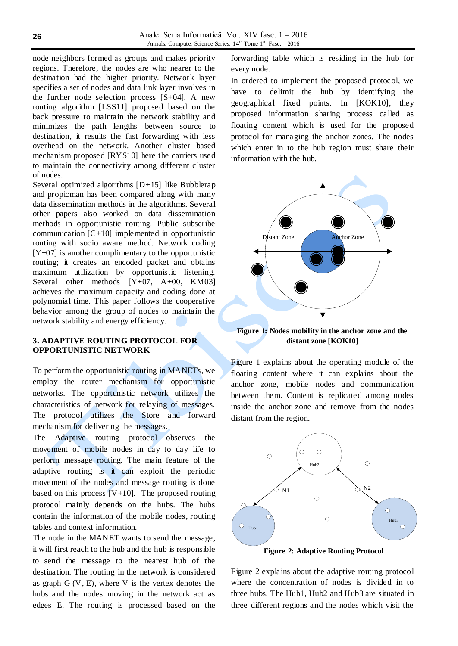node neighbors formed as groups and makes priority regions. Therefore, the nodes are who nearer to the destination had the higher priority. Network layer specifies a set of nodes and data link layer involves in the further node selection process  $[S+04]$ . A new routing algorithm [LSS11] proposed based on the back pressure to maintain the network stability and minimizes the path lengths between source to destination, it results the fast forwarding with less overhead on the network. Another cluster based mechanism proposed [RYS10] here the carriers used to maintain the connectivity among different cluster of nodes.

Several optimized algorithms  $[D+15]$  like Bubblerap and propicman has been compared along with many data dissemination methods in the algorithms. Several other papers also worked on data dissemination methods in opportunistic routing. Public subscribe communication [C+10] implemented in opportunistic routing with socio aware method. Network coding  $[Y+07]$  is another complimentary to the opportunistic routing; it creates an encoded packet and obtains maximum utilization by opportunistic listening. Several other methods  $[Y+07, A+00, KM03]$ achieves the maximum capacity and coding done at polynomial time. This paper follows the cooperative behavior among the group of nodes to maintain the network stability and energy efficiency.

### **3. ADAPTIVE ROUTING PROTOCOL FOR OPPORTUNISTIC NETWORK**

To perform the opportunistic routing in MANETs, we employ the router mechanism for opportunistic networks. The opportunistic network utilizes the characteristics of network for relaying of messages. The protocol utilizes the Store and forward mechanism for delivering the messages.

The Adaptive routing protocol observes the movement of mobile nodes in day to day life to perform message routing. The main feature of the adaptive routing is it can exploit the periodic movement of the nodes and message routing is done based on this process  $[V+10]$ . The proposed routing protocol mainly depends on the hubs. The hubs contain the information of the mobile nodes, routing tables and context information.

The node in the MANET wants to send the message, it will first reach to the hub and the hub is responsible to send the message to the nearest hub of the destination. The routing in the network is considered as graph  $G (V, E)$ , where V is the vertex denotes the hubs and the nodes moving in the network act as edges E. The routing is processed based on the

forwarding table which is residing in the hub for every node.

In ordered to implement the proposed protocol, we have to delimit the hub by identifying the geographical fixed points. In [KOK10], they proposed information sharing process called as floating content which is used for the proposed protocol for managing the anchor zones. The nodes which enter in to the hub region must share their information with the hub.



**Figure 1: Nodes mobility in the anchor zone and the distant zone [KOK10]**

Figure 1 explains about the operating module of the floating content where it can explains about the anchor zone, mobile nodes and communication between them. Content is replicated among nodes inside the anchor zone and remove from the nodes distant from the region.



**Figure 2: Adaptive Routing Protocol**

Figure 2 explains about the adaptive routing protocol where the concentration of nodes is divided in to three hubs. The Hub1, Hub2 and Hub3 are situated in three different regions and the nodes which visit the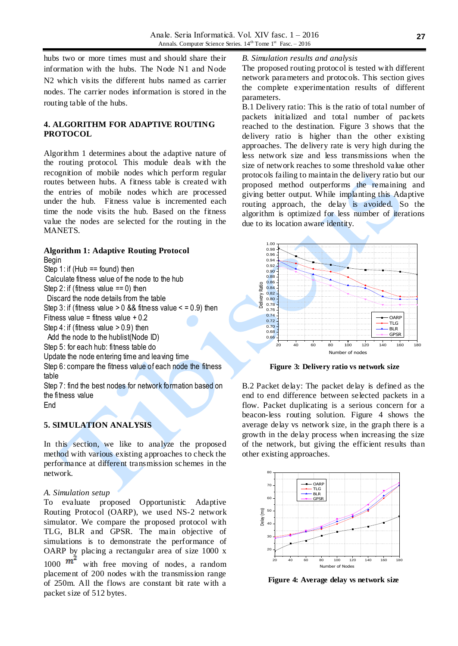hubs two or more times must and should share their information with the hubs. The Node N1 and Node N2 which visits the different hubs named as carrier nodes. The carrier nodes information is stored in the routing table of the hubs.

## **4. ALGORITHM FOR ADAPTIVE ROUTING PROTOCOL**

Algorithm 1 determines about the adaptive nature of the routing protocol. This module deals with the recognition of mobile nodes which perform regular routes between hubs. A fitness table is created with the entries of mobile nodes which are processed under the hub. Fitness value is incremented each time the node visits the hub. Based on the fitness value the nodes are selected for the routing in the MANETS.

# **Algorithm 1: Adaptive Routing Protocol**

Begin Step 1: if (Hub  $==$  found) then Calculate fitness value of the node to the hub Step 2: if (fitness value  $== 0$ ) then Discard the node details from the table Step 3: if (fitness value  $> 0$  && fitness value  $\le$  = 0.9) then Fitness value = fitness value  $+0.2$ Step  $4$ : if (fitness value  $> 0.9$ ) then Add the node to the hublist(Node ID) Step 5: for each hub: fitness table do Update the node entering time and leaving time Step 6: compare the fitness value of each node the fitness table Step 7: find the best nodes for network formation based on the fitness value

End

# **5. SIMULATION ANALYSIS**

In this section, we like to analyze the proposed method with various existing approaches to check the performance at different transmission schemes in the network.

#### *A. Simulation setup*

To evaluate proposed Opportunistic Adaptive Routing Protocol (OARP), we used NS-2 network simulator. We compare the proposed protocol with TLG, BLR and GPSR. The main objective of simulations is to demonstrate the performance of OARP by placing a rectangular area of size 1000 x 1000  $m<sup>2</sup>$  with free moving of nodes, a random placement of 200 nodes with the transmission range of 250m. All the flows are constant bit rate with a packet size of 512 bytes.

*B. Simulation results and analysis*

The proposed routing protocol is tested with different network parameters and protocols. This section gives the complete experimentation results of different parameters.

B.1 Delivery ratio: This is the ratio of total number of packets initialized and total number of packets reached to the destination. Figure 3 shows that the delivery ratio is higher than the other existing approaches. The delivery rate is very high during the less network size and less transmissions when the size of network reaches to some threshold value other protocols failing to maintain the delivery ratio but our proposed method outperforms the remaining and giving better output. While implanting this Adaptive routing approach, the delay is avoided. So the algorithm is optimized for less number of iterations due to its location aware identity.



**Figure 3: Delivery ratio vs network size**

B.2 Packet delay: The packet delay is defined as the end to end difference between selected packets in a flow. Packet duplicating is a serious concern for a beacon-less routing solution. Figure 4 shows the average delay vs network size, in the graph there is a growth in the delay process when increasing the size of the network, but giving the efficient results than other existing approaches.



**Figure 4: Average delay vs network size**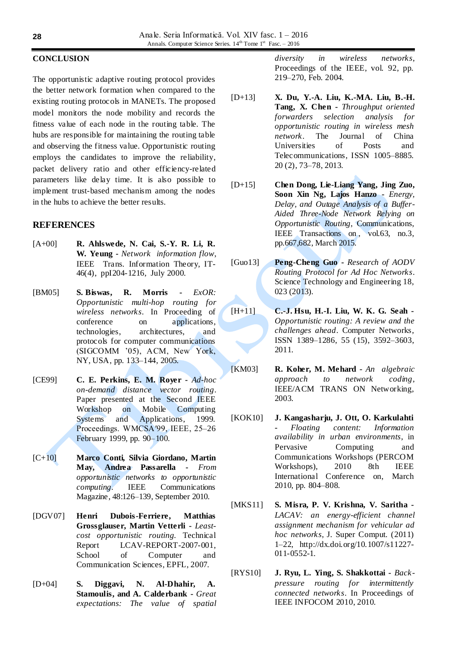#### **CONCLUSION**

The opportunistic adaptive routing protocol provides the better network formation when compared to the existing routing protocols in MANETs. The proposed model monitors the node mobility and records the fitness value of each node in the routing table. The hubs are responsible for maintaining the routing table and observing the fitness value. Opportunistic routing employs the candidates to improve the reliability, packet delivery ratio and other efficiency-related parameters like delay time. It is also possible to implement trust-based mechanism among the nodes in the hubs to achieve the better results.

#### **REFERENCES**

- [A+00] **R. Ahlswede, N. Cai, S.-Y. R. Li, R. W. Yeung -** *Network information flow*, IEEE Trans. Information Theory, IT-46(4), ppI204-1216, July 2000.
- [BM05] **S. Biswas, R. Morris -** *ExOR: Opportunistic multi-hop routing for wireless networks*. In Proceeding of conference on applications, technologies, architectures, and protocols for computer communications (SIGCOMM '05), ACM, New York, NY, USA, pp. 133–144, 2005.
- [CE99] **C. E. Perkins, E. M. Royer -** *Ad-hoc on-demand distance vector routing*. Paper presented at the Second IEEE Workshop on Mobile Computing Systems and Applications, 1999. Proceedings. WMCSA′99, IEEE, 25–26 February 1999, pp. 90–100.
- [C+10] **Marco Conti, Silvia Giordano, Martin May, Andrea Passarella -** *From opportunistic networks to opportunistic computing*. IEEE Communications Magazine, 48:126–139, September 2010.
- [DGV07] **Henri Dubois-Ferriere, Matthias Grossglauser, Martin Vetterli -** *Leastcost opportunistic routing*. Technical Report LCAV-REPORT-2007-001, School of Computer and Communication Sciences, EPFL, 2007.
- [D+04] **S. Diggavi, N. Al-Dhahir, A. Stamoulis, and A. Calderbank -** *Great expectations: The value of spatial*

*diversity in wireless networks*, Proceedings of the IEEE, vol. 92, pp. 219–270, Feb. 2004.

- [D+13] **X. Du, Y.-A. Liu, K.-MA. Liu, B.-H. Tang, X. Chen -** *Throughput oriented forwarders selection analysis for opportunistic routing in wireless mesh network*. The Journal of China Universities of Posts and Telecommunications, ISSN 1005–8885. 20 (2), 73–78, 2013.
- [D+15] **Chen Dong, Lie-Liang Yang, Jing Zuo, Soon Xin Ng, Lajos Hanzo -** *Energy, Delay, and Outage Analysis of a Buffer-Aided Three-Node Network Relying on Opportunistic Routing*, Communications, IEEE Transactions on , vol.63, no.3, pp.667,682, March 2015.
- [Guo13] **Peng-Cheng Guo -** *Research of AODV Routing Protocol for Ad Hoc Networks*. Science Technology and Engineering 18, 023 (2013).
- [H+11] **C.-J. Hsu, H.-I. Liu, W. K. G. Seah -** *Opportunistic routing: A review and the challenges ahead*. Computer Networks, ISSN 1389–1286, 55 (15), 3592–3603, 2011.
- [KM03] **R. Koher, M. Mehard -** *An algebraic approach to network coding*, IEEE/ACM TRANS ON Networking, 2003.
- [KOK10] **J. Kangasharju, J. Ott, O. Karkulahti -** *Floating content: Information availability in urban environments*, in Pervasive Computing and Communications Workshops (PERCOM Workshops), 2010 8th IEEE International Conference on, March 2010, pp. 804–808.
- [MKS11] **S. Misra, P. V. Krishna, V. Saritha -** *LACAV: an energy-efficient channel assignment mechanism for vehicular ad hoc networks*, J. Super Comput. (2011) 1–22, http://dx.doi.org/10.1007/s11227- 011-0552-1.
- [RYS10] **J. Ryu, L. Ying, S. Shakkottai -** *Backpressure routing for intermittently connected networks*. In Proceedings of IEEE INFOCOM 2010, 2010.